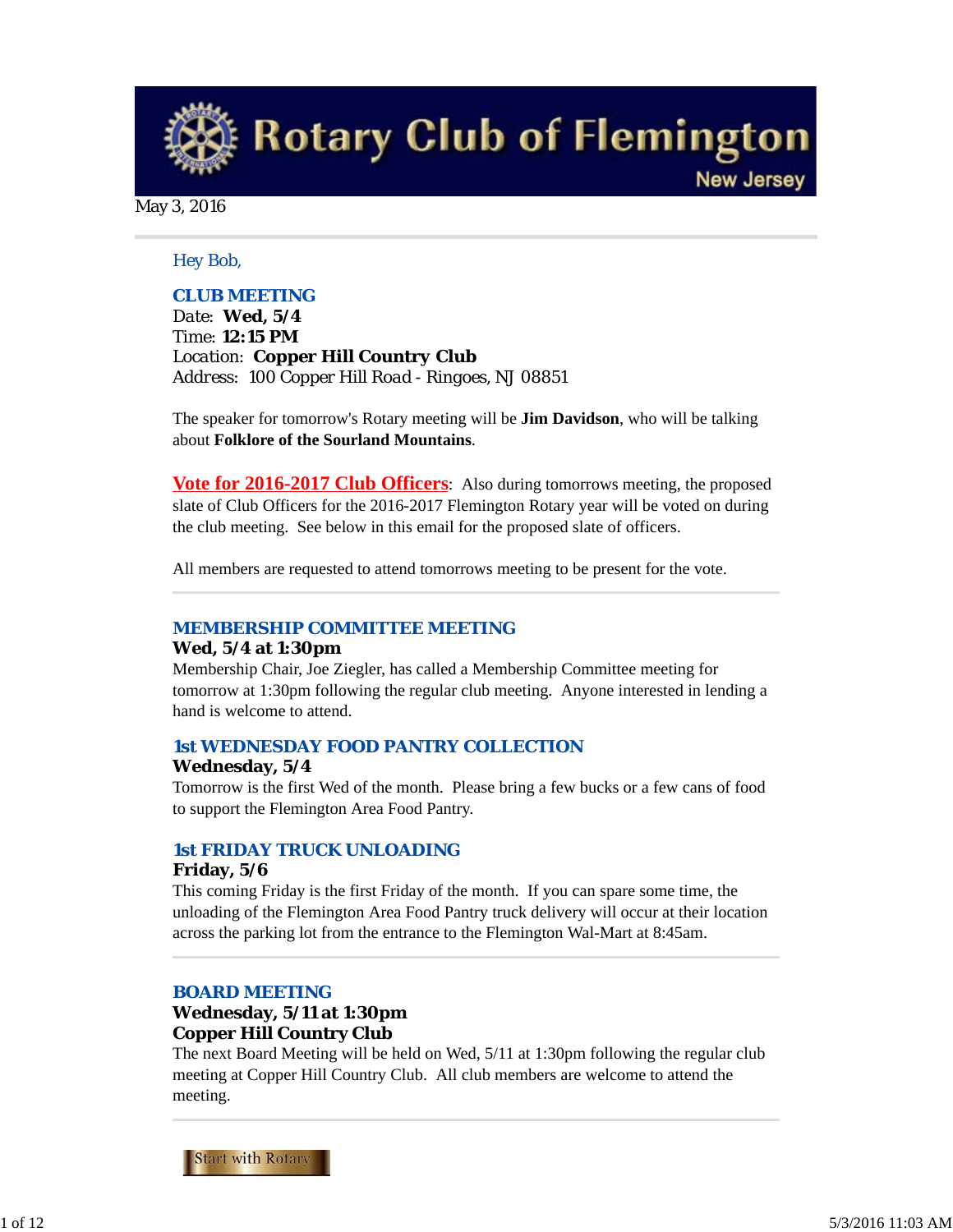**Rotary Club of Flemington** 

**New Jersey** 

May 3, 2016

#### *Hey Bob,*

### *CLUB MEETING*

*Date: Wed, 5/4 Time: 12:15 PM Location: Copper Hill Country Club Address: 100 Copper Hill Road - Ringoes, NJ 08851*

The speaker for tomorrow's Rotary meeting will be **Jim Davidson**, who will be talking about **Folklore of the Sourland Mountains**.

**Vote for 2016-2017 Club Officers**: Also during tomorrows meeting, the proposed slate of Club Officers for the 2016-2017 Flemington Rotary year will be voted on during the club meeting. See below in this email for the proposed slate of officers.

All members are requested to attend tomorrows meeting to be present for the vote.

#### *MEMBERSHIP COMMITTEE MEETING*

#### **Wed, 5/4 at 1:30pm**

Membership Chair, Joe Ziegler, has called a Membership Committee meeting for tomorrow at 1:30pm following the regular club meeting. Anyone interested in lending a hand is welcome to attend.

#### *1st WEDNESDAY FOOD PANTRY COLLECTION*

#### **Wednesday, 5/4**

Tomorrow is the first Wed of the month. Please bring a few bucks or a few cans of food to support the Flemington Area Food Pantry.

#### *1st FRIDAY TRUCK UNLOADING*

#### **Friday, 5/6**

This coming Friday is the first Friday of the month. If you can spare some time, the unloading of the Flemington Area Food Pantry truck delivery will occur at their location across the parking lot from the entrance to the Flemington Wal-Mart at 8:45am.

### *BOARD MEETING*

### **Wednesday, 5/11 at 1:30pm Copper Hill Country Club**

The next Board Meeting will be held on Wed, 5/11 at 1:30pm following the regular club meeting at Copper Hill Country Club. All club members are welcome to attend the meeting.

**Start with Rotary**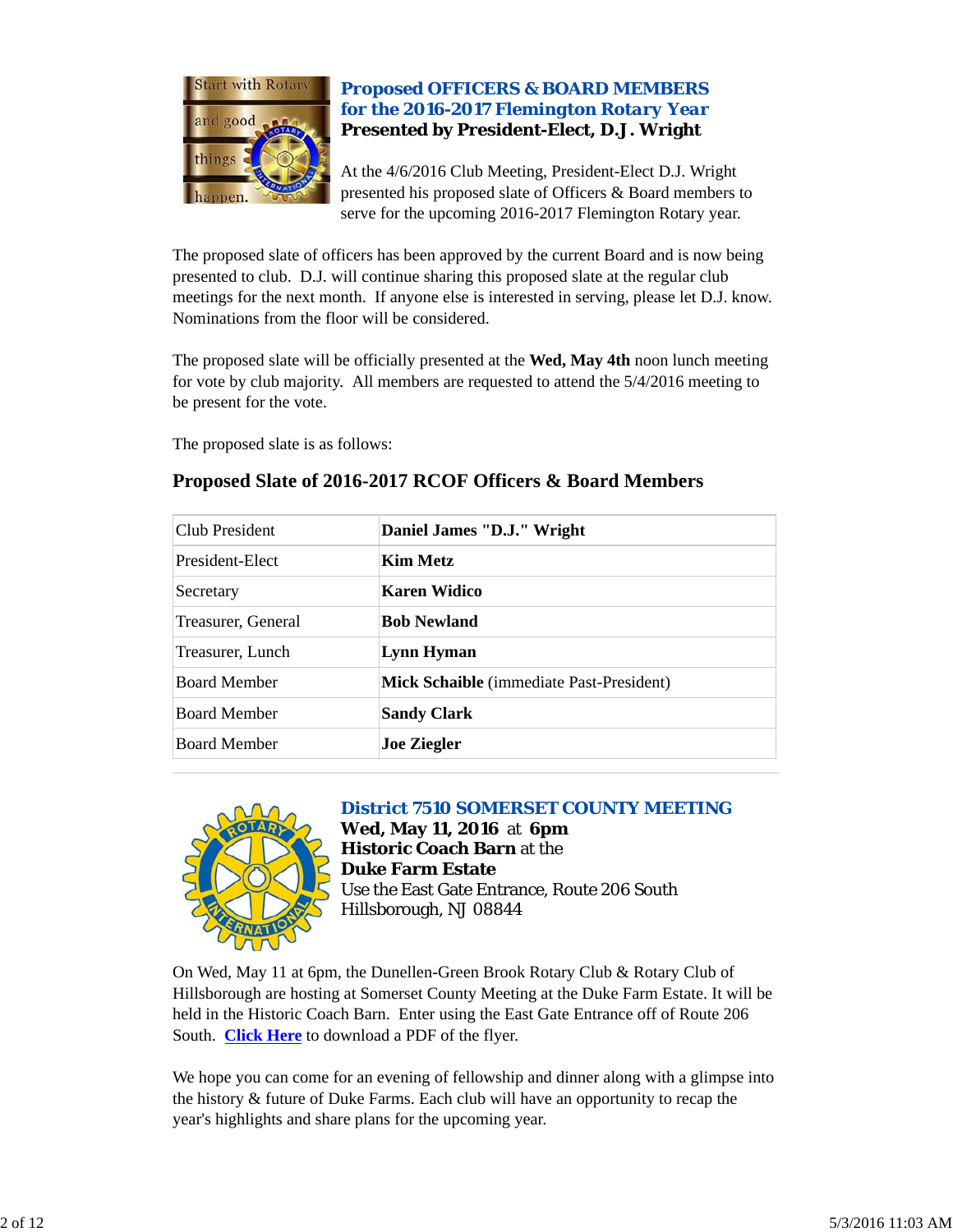

### *Proposed OFFICERS & BOARD MEMBERS for the 2016-2017 Flemington Rotary Year* **Presented by President-Elect, D.J. Wright**

At the 4/6/2016 Club Meeting, President-Elect D.J. Wright presented his proposed slate of Officers & Board members to serve for the upcoming 2016-2017 Flemington Rotary year.

The proposed slate of officers has been approved by the current Board and is now being presented to club. D.J. will continue sharing this proposed slate at the regular club meetings for the next month. If anyone else is interested in serving, please let D.J. know. Nominations from the floor will be considered.

The proposed slate will be officially presented at the **Wed, May 4th** noon lunch meeting for vote by club majority. All members are requested to attend the 5/4/2016 meeting to be present for the vote.

The proposed slate is as follows:

| Club President      | Daniel James "D.J." Wright               |  |
|---------------------|------------------------------------------|--|
| President-Elect     | <b>Kim Metz</b>                          |  |
| Secretary           | Karen Widico                             |  |
| Treasurer, General  | <b>Bob Newland</b>                       |  |
| Treasurer, Lunch    | Lynn Hyman                               |  |
| <b>Board Member</b> | Mick Schaible (immediate Past-President) |  |
| <b>Board Member</b> | <b>Sandy Clark</b>                       |  |
| <b>Board Member</b> | <b>Joe Ziegler</b>                       |  |

## **Proposed Slate of 2016-2017 RCOF Officers & Board Members**



*District 7510 SOMERSET COUNTY MEETING* **Wed, May 11, 2016** at **6pm Historic Coach Barn** at the **Duke Farm Estate** Use the East Gate Entrance, Route 206 South Hillsborough, NJ 08844

On Wed, May 11 at 6pm, the Dunellen-Green Brook Rotary Club & Rotary Club of Hillsborough are hosting at Somerset County Meeting at the Duke Farm Estate. It will be held in the Historic Coach Barn. Enter using the East Gate Entrance off of Route 206 South. **Click Here** to download a PDF of the flyer.

We hope you can come for an evening of fellowship and dinner along with a glimpse into the history & future of Duke Farms. Each club will have an opportunity to recap the year's highlights and share plans for the upcoming year.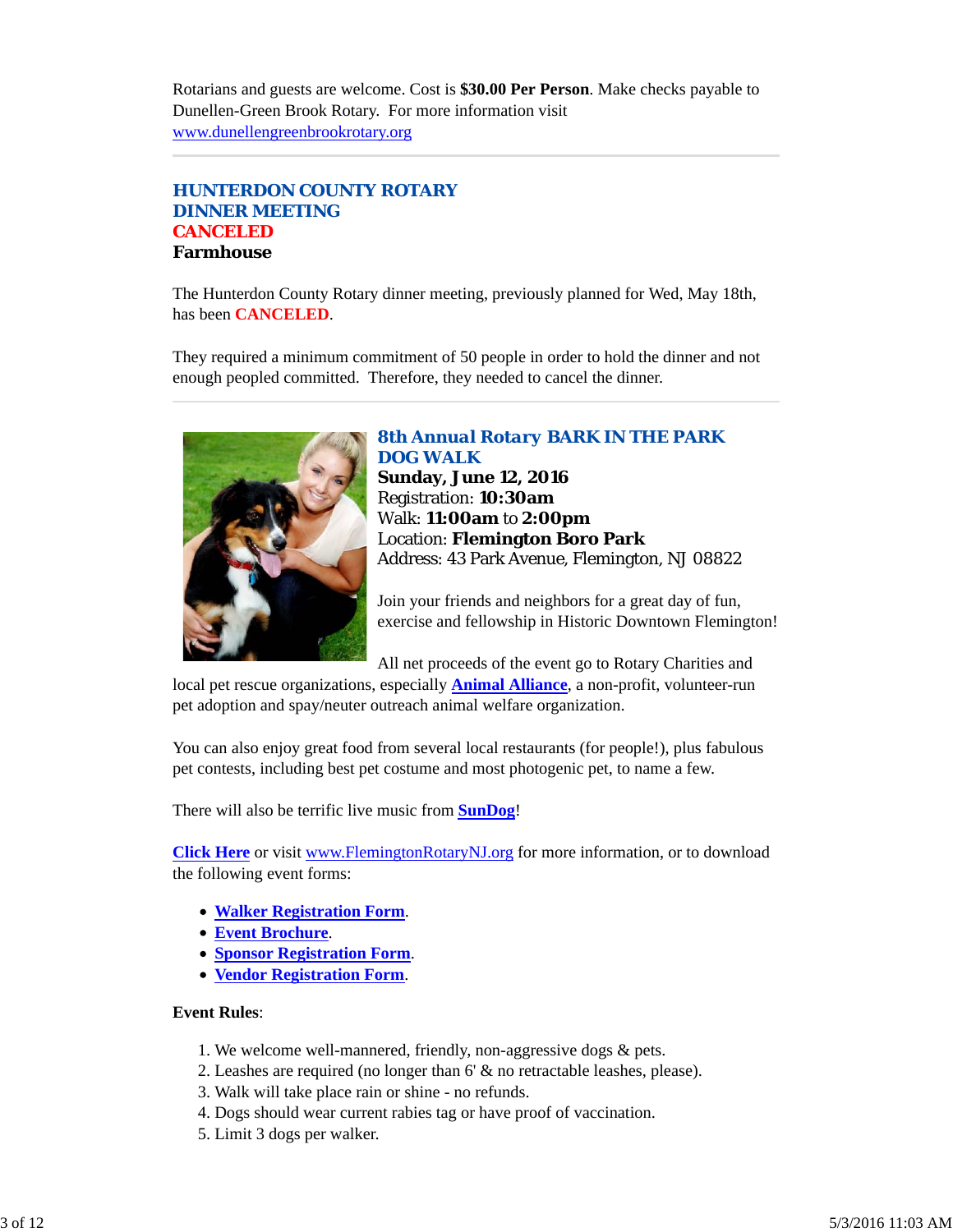Rotarians and guests are welcome. Cost is **\$30.00 Per Person**. Make checks payable to Dunellen-Green Brook Rotary. For more information visit www.dunellengreenbrookrotary.org

### *HUNTERDON COUNTY ROTARY DINNER MEETING* **CANCELED Farmhouse**

The Hunterdon County Rotary dinner meeting, previously planned for Wed, May 18th, has been **CANCELED**.

They required a minimum commitment of 50 people in order to hold the dinner and not enough peopled committed. Therefore, they needed to cancel the dinner.



#### *8th Annual Rotary BARK IN THE PARK DOG WALK*

**Sunday, June 12, 2016** Registration: **10:30am** Walk: **11:00am** to **2:00pm** Location: **Flemington Boro Park** Address: 43 Park Avenue, Flemington, NJ 08822

Join your friends and neighbors for a great day of fun, exercise and fellowship in Historic Downtown Flemington!

All net proceeds of the event go to Rotary Charities and

local pet rescue organizations, especially **Animal Alliance**, a non-profit, volunteer-run pet adoption and spay/neuter outreach animal welfare organization.

You can also enjoy great food from several local restaurants (for people!), plus fabulous pet contests, including best pet costume and most photogenic pet, to name a few.

There will also be terrific live music from **SunDog**!

**Click Here** or visit www.FlemingtonRotaryNJ.org for more information, or to download the following event forms:

- **Walker Registration Form**.
- **Event Brochure**.
- **Sponsor Registration Form**.
- **Vendor Registration Form**.

#### **Event Rules**:

- 1. We welcome well-mannered, friendly, non-aggressive dogs & pets.
- 2. Leashes are required (no longer than 6' & no retractable leashes, please).
- 3. Walk will take place rain or shine no refunds.
- 4. Dogs should wear current rabies tag or have proof of vaccination.
- 5. Limit 3 dogs per walker.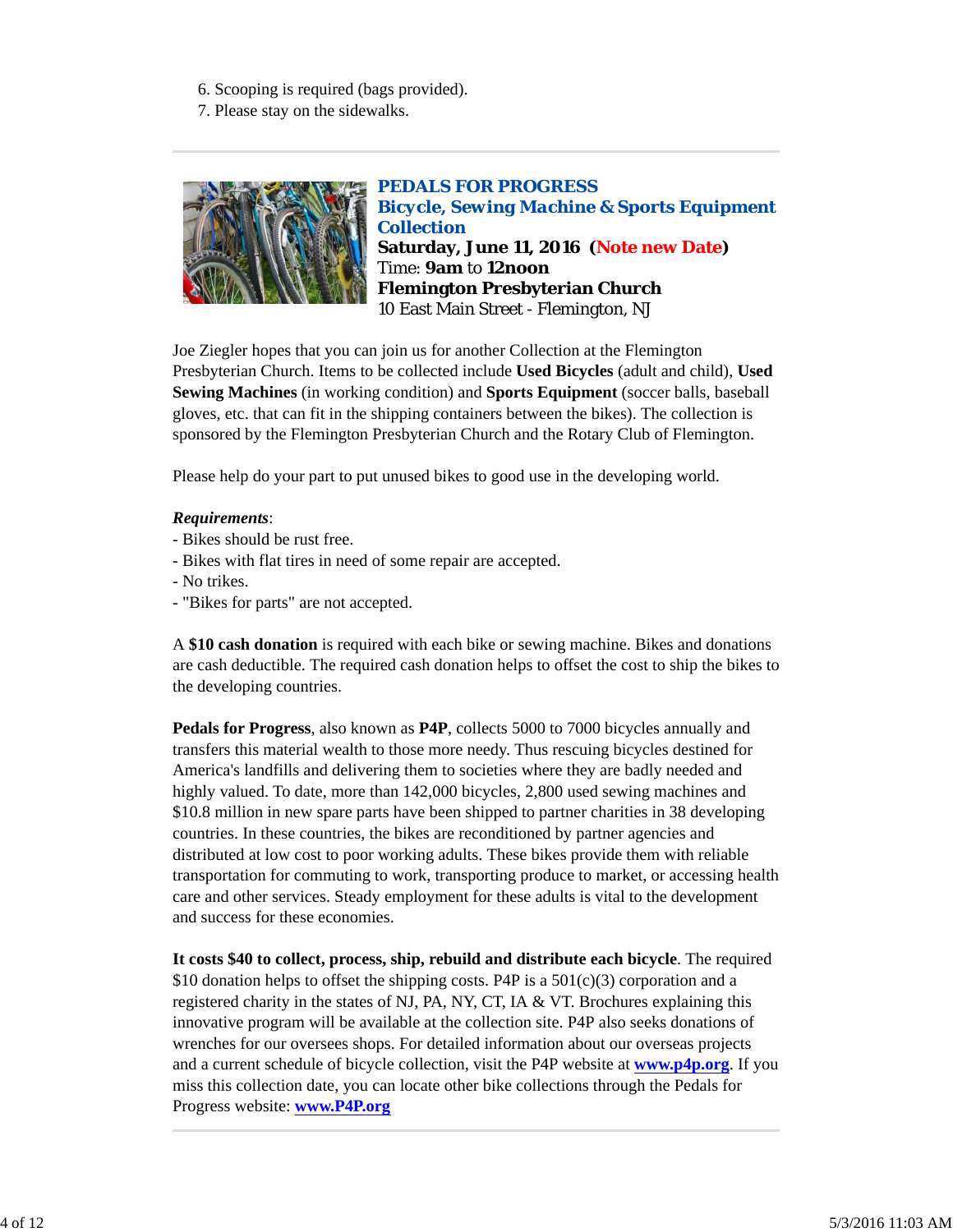- 6. Scooping is required (bags provided).
- 7. Please stay on the sidewalks.



*PEDALS FOR PROGRESS Bicycle, Sewing Machine & Sports Equipment Collection* **Saturday, June 11, 2016 (Note new Date)** Time: **9am** to **12noon Flemington Presbyterian Church** 10 East Main Street - Flemington, NJ

Joe Ziegler hopes that you can join us for another Collection at the Flemington Presbyterian Church. Items to be collected include **Used Bicycles** (adult and child), **Used Sewing Machines** (in working condition) and **Sports Equipment** (soccer balls, baseball gloves, etc. that can fit in the shipping containers between the bikes). The collection is sponsored by the Flemington Presbyterian Church and the Rotary Club of Flemington.

Please help do your part to put unused bikes to good use in the developing world.

### *Requirements*:

- Bikes should be rust free.
- Bikes with flat tires in need of some repair are accepted.
- No trikes.
- "Bikes for parts" are not accepted.

A **\$10 cash donation** is required with each bike or sewing machine. Bikes and donations are cash deductible. The required cash donation helps to offset the cost to ship the bikes to the developing countries.

**Pedals for Progress**, also known as **P4P**, collects 5000 to 7000 bicycles annually and transfers this material wealth to those more needy. Thus rescuing bicycles destined for America's landfills and delivering them to societies where they are badly needed and highly valued. To date, more than 142,000 bicycles, 2,800 used sewing machines and \$10.8 million in new spare parts have been shipped to partner charities in 38 developing countries. In these countries, the bikes are reconditioned by partner agencies and distributed at low cost to poor working adults. These bikes provide them with reliable transportation for commuting to work, transporting produce to market, or accessing health care and other services. Steady employment for these adults is vital to the development and success for these economies.

**It costs \$40 to collect, process, ship, rebuild and distribute each bicycle**. The required \$10 donation helps to offset the shipping costs. P4P is a  $501(c)(3)$  corporation and a registered charity in the states of NJ, PA, NY, CT, IA & VT. Brochures explaining this innovative program will be available at the collection site. P4P also seeks donations of wrenches for our oversees shops. For detailed information about our overseas projects and a current schedule of bicycle collection, visit the P4P website at **www.p4p.org**. If you miss this collection date, you can locate other bike collections through the Pedals for Progress website: **www.P4P.org**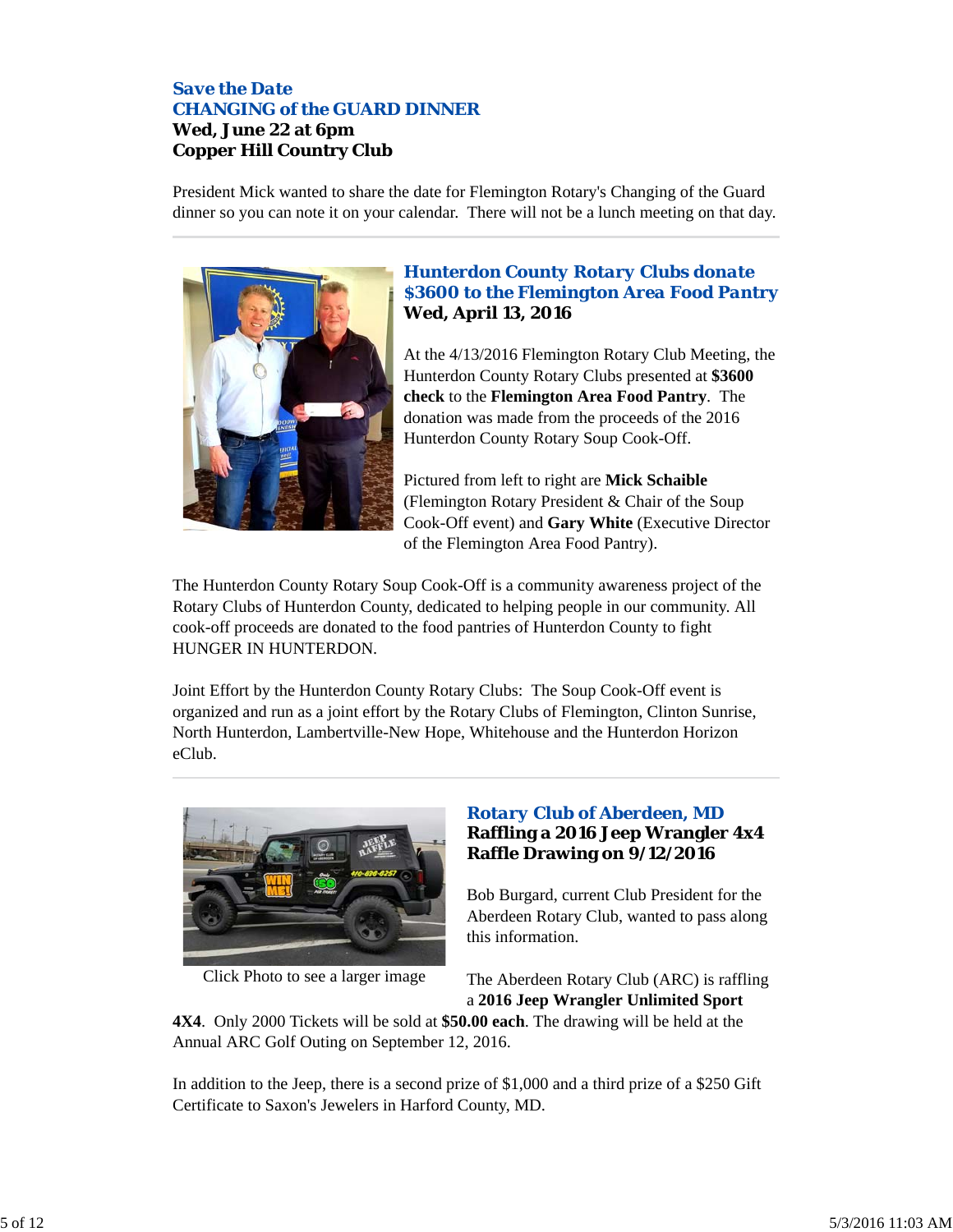### *Save the Date CHANGING of the GUARD DINNER* **Wed, June 22 at 6pm Copper Hill Country Club**

President Mick wanted to share the date for Flemington Rotary's Changing of the Guard dinner so you can note it on your calendar. There will not be a lunch meeting on that day.



### *Hunterdon County Rotary Clubs donate \$3600 to the Flemington Area Food Pantry* **Wed, April 13, 2016**

At the 4/13/2016 Flemington Rotary Club Meeting, the Hunterdon County Rotary Clubs presented at **\$3600 check** to the **Flemington Area Food Pantry**. The donation was made from the proceeds of the 2016 Hunterdon County Rotary Soup Cook-Off.

Pictured from left to right are **Mick Schaible** (Flemington Rotary President & Chair of the Soup Cook-Off event) and **Gary White** (Executive Director of the Flemington Area Food Pantry).

The Hunterdon County Rotary Soup Cook-Off is a community awareness project of the Rotary Clubs of Hunterdon County, dedicated to helping people in our community. All cook-off proceeds are donated to the food pantries of Hunterdon County to fight HUNGER IN HUNTERDON.

Joint Effort by the Hunterdon County Rotary Clubs: The Soup Cook-Off event is organized and run as a joint effort by the Rotary Clubs of Flemington, Clinton Sunrise, North Hunterdon, Lambertville-New Hope, Whitehouse and the Hunterdon Horizon eClub.



Click Photo to see a larger image

### *Rotary Club of Aberdeen, MD* **Raffling a 2016 Jeep Wrangler 4x4 Raffle Drawing on 9/12/2016**

Bob Burgard, current Club President for the Aberdeen Rotary Club, wanted to pass along this information.

The Aberdeen Rotary Club (ARC) is raffling a **2016 Jeep Wrangler Unlimited Sport**

**4X4**. Only 2000 Tickets will be sold at **\$50.00 each**. The drawing will be held at the Annual ARC Golf Outing on September 12, 2016.

In addition to the Jeep, there is a second prize of \$1,000 and a third prize of a \$250 Gift Certificate to Saxon's Jewelers in Harford County, MD.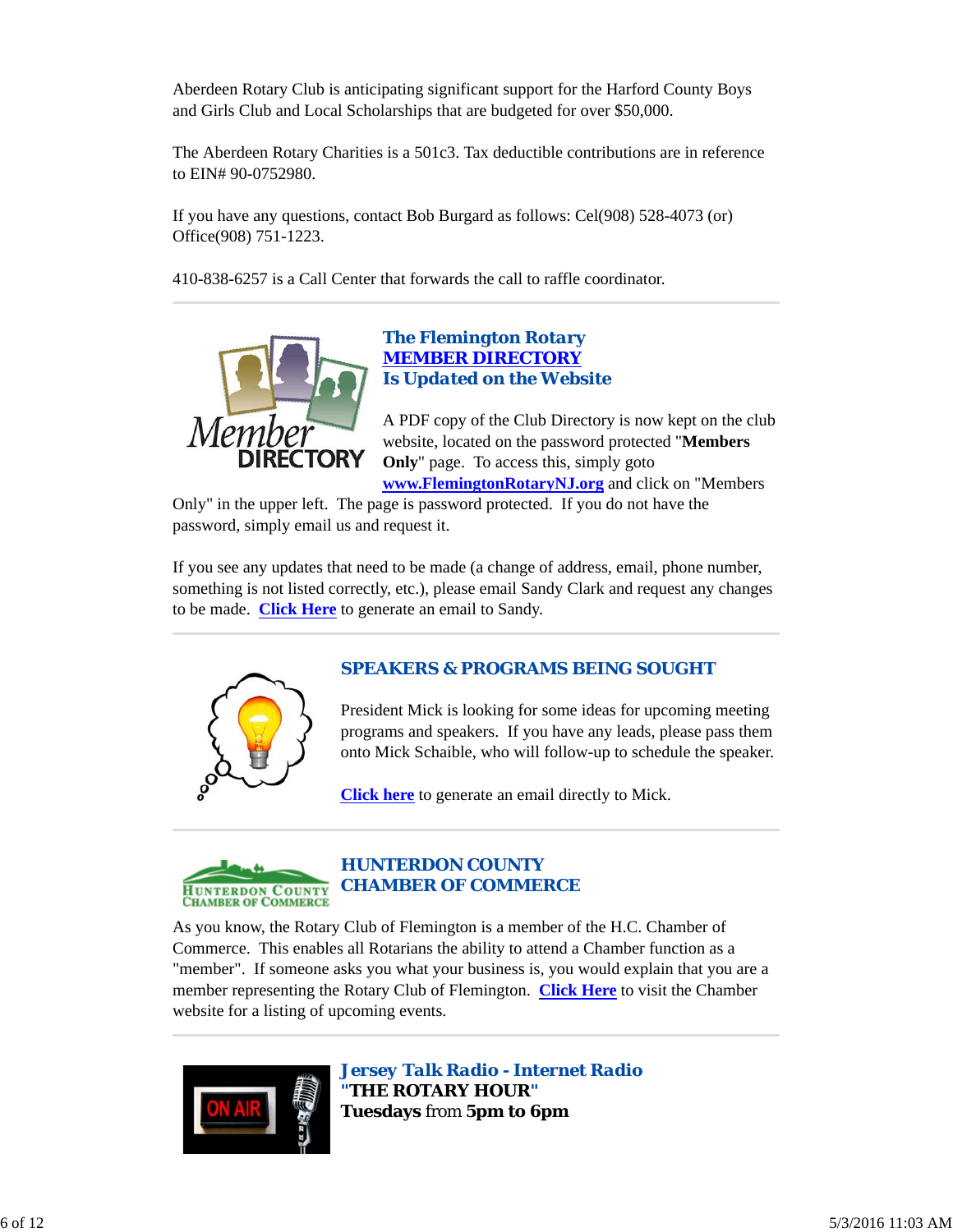Aberdeen Rotary Club is anticipating significant support for the Harford County Boys and Girls Club and Local Scholarships that are budgeted for over \$50,000.

The Aberdeen Rotary Charities is a 501c3. Tax deductible contributions are in reference to EIN# 90-0752980.

If you have any questions, contact Bob Burgard as follows: Cel(908) 528-4073 (or) Office(908) 751-1223.

410-838-6257 is a Call Center that forwards the call to raffle coordinator.



### *The Flemington Rotary MEMBER DIRECTORY Is Updated on the Website*

A PDF copy of the Club Directory is now kept on the club website, located on the password protected "**Members Only**" page. To access this, simply goto **www.FlemingtonRotaryNJ.org** and click on "Members

Only" in the upper left. The page is password protected. If you do not have the password, simply email us and request it.

If you see any updates that need to be made (a change of address, email, phone number, something is not listed correctly, etc.), please email Sandy Clark and request any changes to be made. **Click Here** to generate an email to Sandy.



### *SPEAKERS & PROGRAMS BEING SOUGHT*

President Mick is looking for some ideas for upcoming meeting programs and speakers. If you have any leads, please pass them onto Mick Schaible, who will follow-up to schedule the speaker.

**Click here** to generate an email directly to Mick.



### *HUNTERDON COUNTY CHAMBER OF COMMERCE*

As you know, the Rotary Club of Flemington is a member of the H.C. Chamber of Commerce. This enables all Rotarians the ability to attend a Chamber function as a "member". If someone asks you what your business is, you would explain that you are a member representing the Rotary Club of Flemington. **Click Here** to visit the Chamber website for a listing of upcoming events.



*Jersey Talk Radio - Internet Radio "THE ROTARY HOUR"* **Tuesdays** from **5pm to 6pm**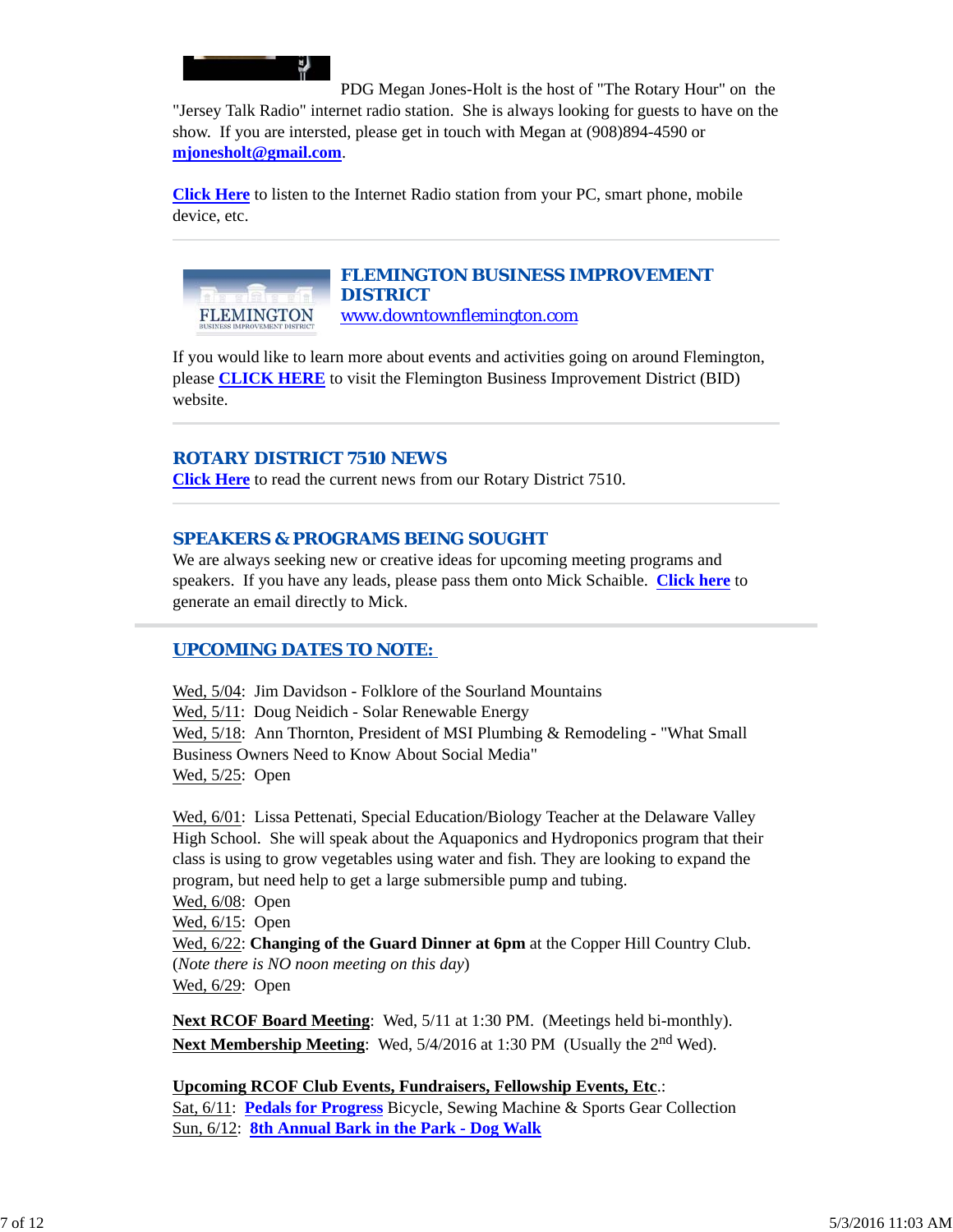

PDG Megan Jones-Holt is the host of "The Rotary Hour" on the "Jersey Talk Radio" internet radio station. She is always looking for guests to have on the show. If you are intersted, please get in touch with Megan at (908)894-4590 or **mjonesholt@gmail.com**.

**Click Here** to listen to the Internet Radio station from your PC, smart phone, mobile device, etc.



# *FLEMINGTON BUSINESS IMPROVEMENT DISTRICT*

www.downtownflemington.com

If you would like to learn more about events and activities going on around Flemington, please **CLICK HERE** to visit the Flemington Business Improvement District (BID) website.

### *ROTARY DISTRICT 7510 NEWS*

**Click Here** to read the current news from our Rotary District 7510.

### *SPEAKERS & PROGRAMS BEING SOUGHT*

We are always seeking new or creative ideas for upcoming meeting programs and speakers. If you have any leads, please pass them onto Mick Schaible. **Click here** to generate an email directly to Mick.

### *UPCOMING DATES TO NOTE:*

Wed, 5/04: Jim Davidson - Folklore of the Sourland Mountains Wed, 5/11: Doug Neidich - Solar Renewable Energy Wed, 5/18: Ann Thornton, President of MSI Plumbing & Remodeling - "What Small Business Owners Need to Know About Social Media" Wed, 5/25: Open

Wed, 6/01: Lissa Pettenati, Special Education/Biology Teacher at the Delaware Valley High School. She will speak about the Aquaponics and Hydroponics program that their class is using to grow vegetables using water and fish. They are looking to expand the program, but need help to get a large submersible pump and tubing.

Wed, 6/08: Open Wed, 6/15: Open Wed, 6/22: **Changing of the Guard Dinner at 6pm** at the Copper Hill Country Club. (*Note there is NO noon meeting on this day*) Wed, 6/29: Open

**Next RCOF Board Meeting**: Wed, 5/11 at 1:30 PM. (Meetings held bi-monthly). **Next Membership Meeting**: Wed, 5/4/2016 at 1:30 PM (Usually the 2<sup>nd</sup> Wed).

**Upcoming RCOF Club Events, Fundraisers, Fellowship Events, Etc**.: Sat, 6/11: **Pedals for Progress** Bicycle, Sewing Machine & Sports Gear Collection Sun, 6/12: **8th Annual Bark in the Park - Dog Walk**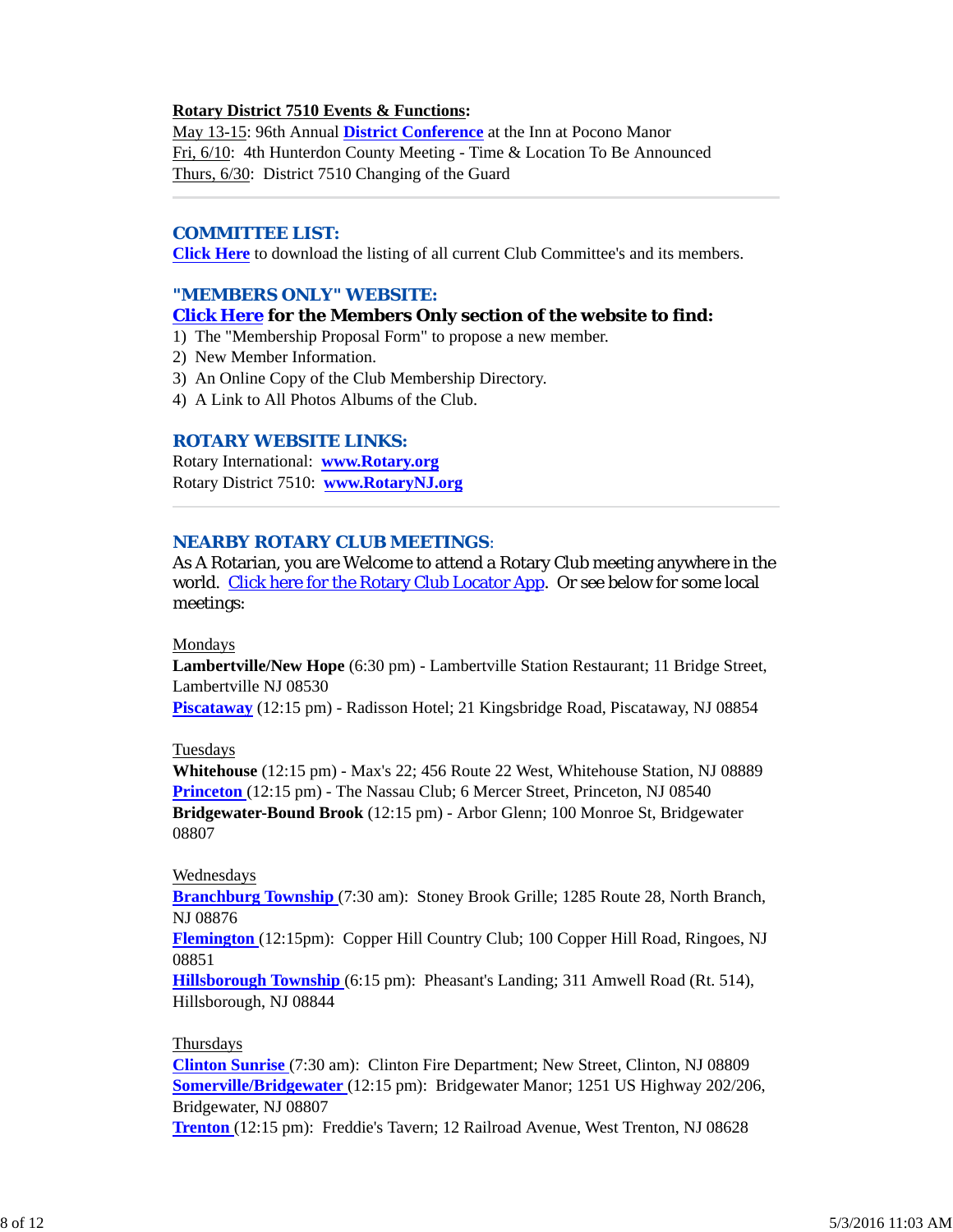### **Rotary District 7510 Events & Functions:**

May 13-15: 96th Annual **District Conference** at the Inn at Pocono Manor Fri, 6/10: 4th Hunterdon County Meeting - Time & Location To Be Announced Thurs, 6/30: District 7510 Changing of the Guard

#### *COMMITTEE LIST:*

**Click Here** to download the listing of all current Club Committee's and its members.

### *"MEMBERS ONLY" WEBSITE:*

### **Click Here for the Members Only section of the website to find:**

1) The "Membership Proposal Form" to propose a new member.

- 2) New Member Information.
- 3) An Online Copy of the Club Membership Directory.
- 4) A Link to All Photos Albums of the Club.

### *ROTARY WEBSITE LINKS:*

Rotary International: **www.Rotary.org** Rotary District 7510: **www.RotaryNJ.org**

### *NEARBY ROTARY CLUB MEETINGS:*

As A Rotarian, you are Welcome to attend a Rotary Club meeting anywhere in the world. Click here for the Rotary Club Locator App. Or see below for some local meetings:

#### Mondays

**Lambertville/New Hope** (6:30 pm) - Lambertville Station Restaurant; 11 Bridge Street, Lambertville NJ 08530

**Piscataway** (12:15 pm) - Radisson Hotel; 21 Kingsbridge Road, Piscataway, NJ 08854

#### Tuesdays

**Whitehouse** (12:15 pm) - Max's 22; 456 Route 22 West, Whitehouse Station, NJ 08889 **Princeton** (12:15 pm) - The Nassau Club; 6 Mercer Street, Princeton, NJ 08540 **Bridgewater-Bound Brook** (12:15 pm) - Arbor Glenn; 100 Monroe St, Bridgewater 08807

### Wednesdays

**Branchburg Township** (7:30 am): Stoney Brook Grille; 1285 Route 28, North Branch, NJ 08876

**Flemington** (12:15pm): Copper Hill Country Club; 100 Copper Hill Road, Ringoes, NJ 08851

**Hillsborough Township** (6:15 pm): Pheasant's Landing; 311 Amwell Road (Rt. 514), Hillsborough, NJ 08844

#### Thursdays

**Clinton Sunrise** (7:30 am): Clinton Fire Department; New Street, Clinton, NJ 08809 **Somerville/Bridgewater** (12:15 pm): Bridgewater Manor; 1251 US Highway 202/206, Bridgewater, NJ 08807

**Trenton** (12:15 pm): Freddie's Tavern; 12 Railroad Avenue, West Trenton, NJ 08628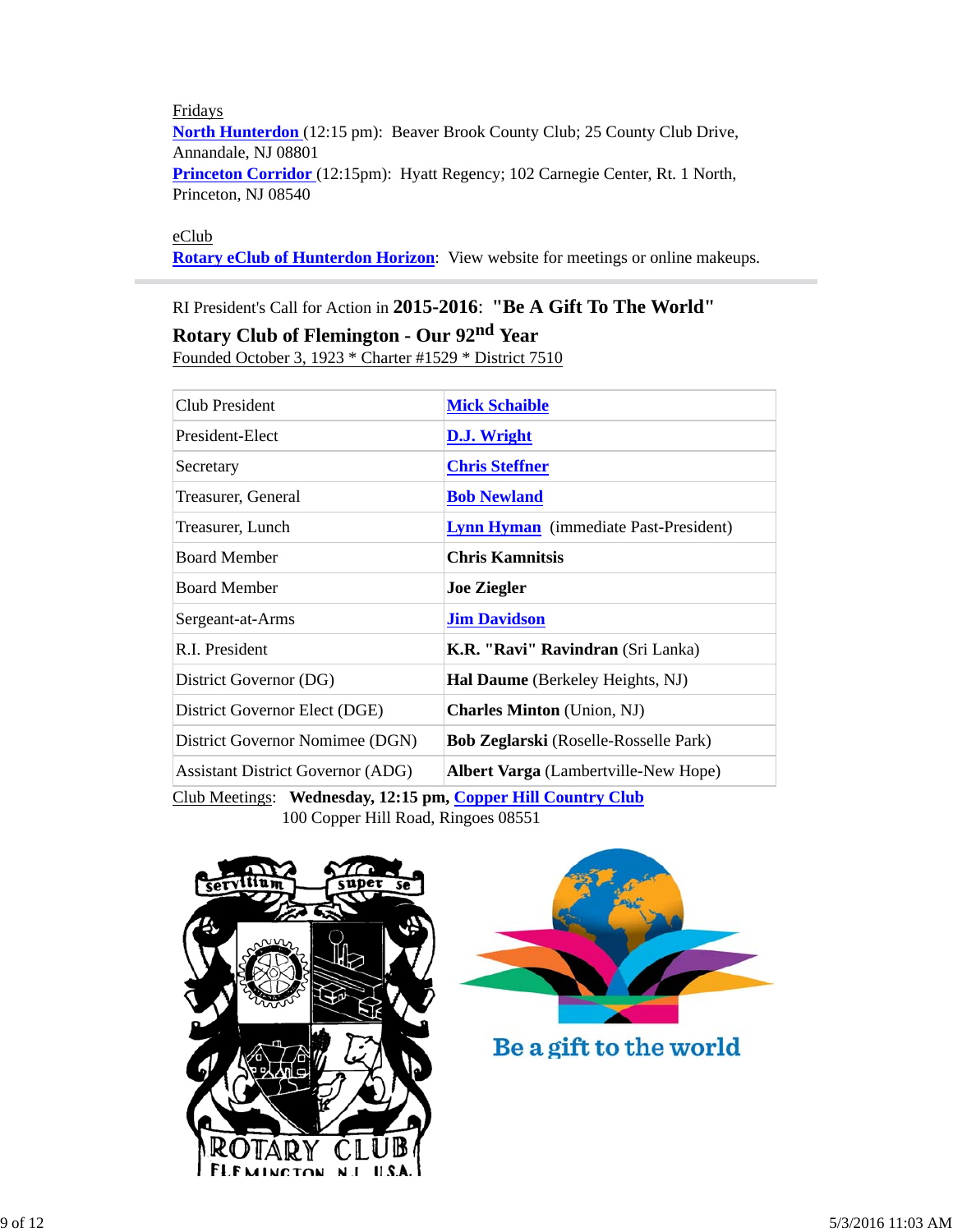Fridays **North Hunterdon** (12:15 pm): Beaver Brook County Club; 25 County Club Drive, Annandale, NJ 08801 Princeton Corridor (12:15pm): Hyatt Regency; 102 Carnegie Center, Rt. 1 North, Princeton, NJ 08540

eClub

**Rotary eClub of Hunterdon Horizon**: View website for meetings or online makeups.

# RI President's Call for Action in **2015-2016**: **"Be A Gift To The World" Rotary Club of Flemington - Our 92nd Year**

Founded October 3, 1923 \* Charter #1529 \* District 7510

| <b>D.J. Wright</b>                                                                                          |  |  |
|-------------------------------------------------------------------------------------------------------------|--|--|
| <b>Chris Steffner</b>                                                                                       |  |  |
| <b>Bob Newland</b>                                                                                          |  |  |
| <b>Lynn Hyman</b> (immediate Past-President)                                                                |  |  |
| <b>Chris Kamnitsis</b>                                                                                      |  |  |
| <b>Joe Ziegler</b>                                                                                          |  |  |
| <b>Jim Davidson</b>                                                                                         |  |  |
| <b>K.R. "Ravi" Ravindran</b> (Sri Lanka)                                                                    |  |  |
| Hal Daume (Berkeley Heights, NJ)                                                                            |  |  |
| <b>Charles Minton</b> (Union, NJ)                                                                           |  |  |
| <b>Bob Zeglarski</b> (Roselle-Rosselle Park)                                                                |  |  |
| <b>Albert Varga</b> (Lambertville-New Hope)                                                                 |  |  |
| $C_{\text{lab}}$ Mostings: Wednesdey 12.15 nm $C_{\text{annon}}$ Uill $C_{\text{countup}}$ $C_{\text{lab}}$ |  |  |

Club Meetings: **Wednesday, 12:15 pm, Copper Hill Country Club** 100 Copper Hill Road, Ringoes 08551





Be a gift to the world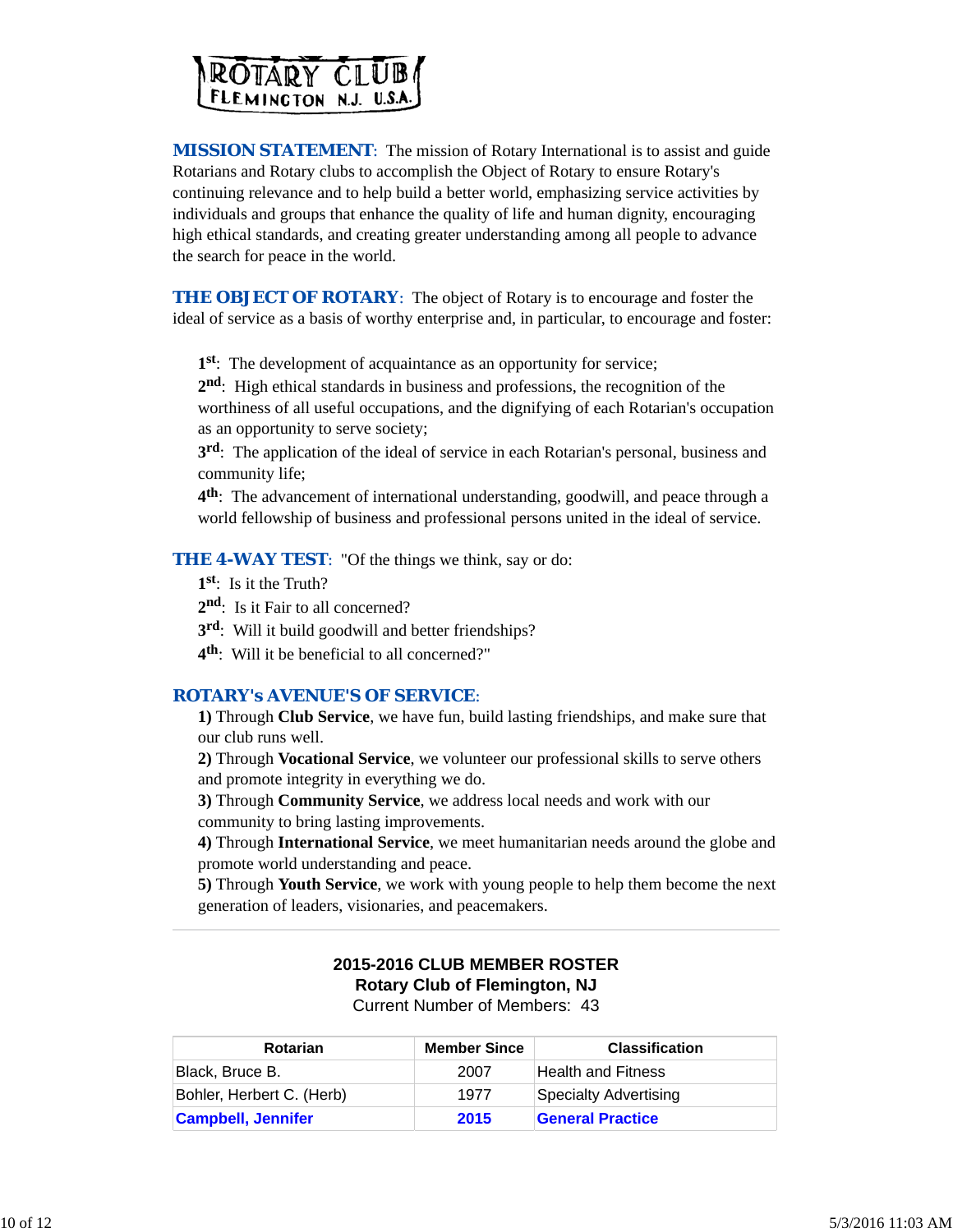

*MISSION STATEMENT*: The mission of Rotary International is to assist and guide Rotarians and Rotary clubs to accomplish the Object of Rotary to ensure Rotary's continuing relevance and to help build a better world, emphasizing service activities by individuals and groups that enhance the quality of life and human dignity, encouraging high ethical standards, and creating greater understanding among all people to advance the search for peace in the world.

**THE OBJECT OF ROTARY:** The object of Rotary is to encourage and foster the ideal of service as a basis of worthy enterprise and, in particular, to encourage and foster:

**1st**: The development of acquaintance as an opportunity for service;

**2nd**: High ethical standards in business and professions, the recognition of the worthiness of all useful occupations, and the dignifying of each Rotarian's occupation as an opportunity to serve society;

**3rd**: The application of the ideal of service in each Rotarian's personal, business and community life;

**4th**: The advancement of international understanding, goodwill, and peace through a world fellowship of business and professional persons united in the ideal of service.

**THE 4-WAY TEST:** "Of the things we think, say or do:

- **1st**: Is it the Truth?
- 2<sup>nd</sup>: Is it Fair to all concerned?
- **3rd**: Will it build goodwill and better friendships?
- **4th**: Will it be beneficial to all concerned?"

### *ROTARY's AVENUE'S OF SERVICE*:

**1)** Through **Club Service**, we have fun, build lasting friendships, and make sure that our club runs well.

**2)** Through **Vocational Service**, we volunteer our professional skills to serve others and promote integrity in everything we do.

**3)** Through **Community Service**, we address local needs and work with our community to bring lasting improvements.

**4)** Through **International Service**, we meet humanitarian needs around the globe and promote world understanding and peace.

**5)** Through **Youth Service**, we work with young people to help them become the next generation of leaders, visionaries, and peacemakers.

# **2015-2016 CLUB MEMBER ROSTER Rotary Club of Flemington, NJ**

Current Number of Members: 43

| <b>Rotarian</b>           | <b>Member Since</b> | <b>Classification</b>   |
|---------------------------|---------------------|-------------------------|
| Black. Bruce B.           | 2007                | Health and Fitness      |
| Bohler, Herbert C. (Herb) | 1977                | Specialty Advertising   |
| <b>Campbell, Jennifer</b> | 2015                | <b>General Practice</b> |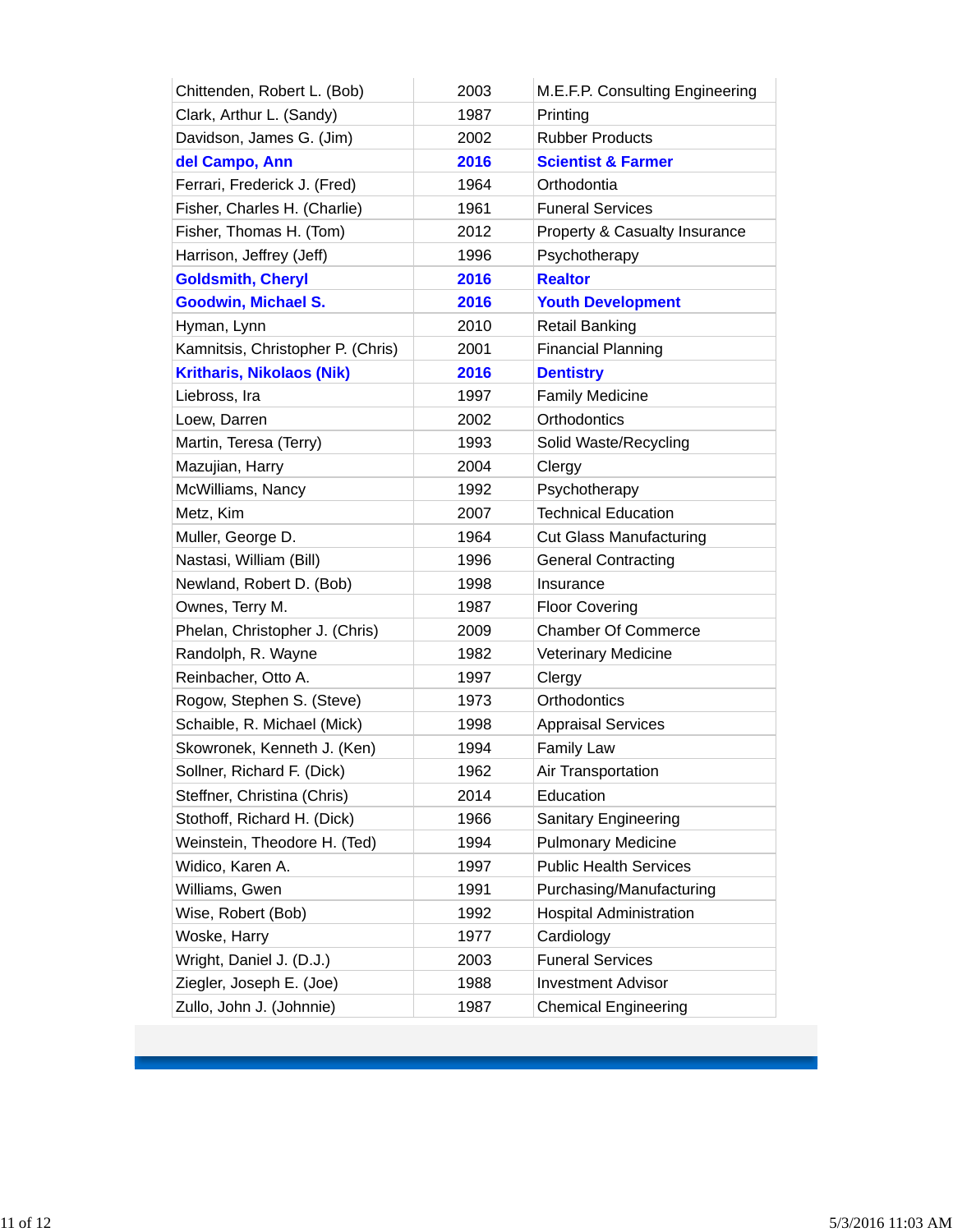| Chittenden, Robert L. (Bob)       | 2003 | M.E.F.P. Consulting Engineering |
|-----------------------------------|------|---------------------------------|
| Clark, Arthur L. (Sandy)          | 1987 | Printing                        |
| Davidson, James G. (Jim)          | 2002 | <b>Rubber Products</b>          |
| del Campo, Ann                    | 2016 | <b>Scientist &amp; Farmer</b>   |
| Ferrari, Frederick J. (Fred)      | 1964 | Orthodontia                     |
| Fisher, Charles H. (Charlie)      | 1961 | <b>Funeral Services</b>         |
| Fisher, Thomas H. (Tom)           | 2012 | Property & Casualty Insurance   |
| Harrison, Jeffrey (Jeff)          | 1996 | Psychotherapy                   |
| <b>Goldsmith, Cheryl</b>          | 2016 | <b>Realtor</b>                  |
| <b>Goodwin, Michael S.</b>        | 2016 | <b>Youth Development</b>        |
| Hyman, Lynn                       | 2010 | <b>Retail Banking</b>           |
| Kamnitsis, Christopher P. (Chris) | 2001 | <b>Financial Planning</b>       |
| <b>Kritharis, Nikolaos (Nik)</b>  | 2016 | <b>Dentistry</b>                |
| Liebross, Ira                     | 1997 | <b>Family Medicine</b>          |
| Loew, Darren                      | 2002 | Orthodontics                    |
| Martin, Teresa (Terry)            | 1993 | Solid Waste/Recycling           |
| Mazujian, Harry                   | 2004 | Clergy                          |
| McWilliams, Nancy                 | 1992 | Psychotherapy                   |
| Metz, Kim                         | 2007 | <b>Technical Education</b>      |
| Muller, George D.                 | 1964 | <b>Cut Glass Manufacturing</b>  |
| Nastasi, William (Bill)           | 1996 | <b>General Contracting</b>      |
| Newland, Robert D. (Bob)          | 1998 | Insurance                       |
| Ownes, Terry M.                   | 1987 | <b>Floor Covering</b>           |
| Phelan, Christopher J. (Chris)    | 2009 | <b>Chamber Of Commerce</b>      |
| Randolph, R. Wayne                | 1982 | <b>Veterinary Medicine</b>      |
| Reinbacher, Otto A.               | 1997 | Clergy                          |
| Rogow, Stephen S. (Steve)         | 1973 | Orthodontics                    |
| Schaible, R. Michael (Mick)       | 1998 | <b>Appraisal Services</b>       |
| Skowronek, Kenneth J. (Ken)       | 1994 | <b>Family Law</b>               |
| Sollner, Richard F. (Dick)        | 1962 | Air Transportation              |
| Steffner, Christina (Chris)       | 2014 | Education                       |
| Stothoff, Richard H. (Dick)       | 1966 | Sanitary Engineering            |
| Weinstein, Theodore H. (Ted)      | 1994 | <b>Pulmonary Medicine</b>       |
| Widico, Karen A.                  | 1997 | <b>Public Health Services</b>   |
| Williams, Gwen                    | 1991 | Purchasing/Manufacturing        |
| Wise, Robert (Bob)                | 1992 | <b>Hospital Administration</b>  |
| Woske, Harry                      | 1977 | Cardiology                      |
| Wright, Daniel J. (D.J.)          | 2003 | <b>Funeral Services</b>         |
| Ziegler, Joseph E. (Joe)          | 1988 | <b>Investment Advisor</b>       |
| Zullo, John J. (Johnnie)          | 1987 | <b>Chemical Engineering</b>     |